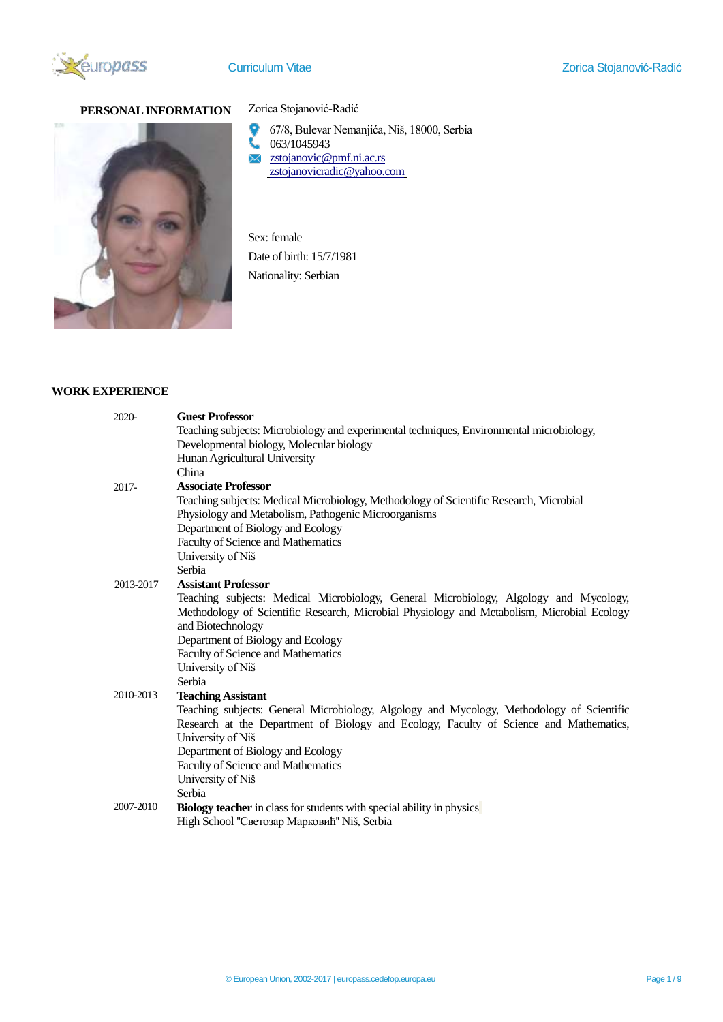

# **PERSONAL INFORMATION** Zorica Stojanović-Radić



- 67/8, Bulevar Nemanjića, Niš, 18000, Serbia
- 063/1045943
- $\times$  [zstojanovic@pmf.ni.ac.rs](mailto:zstojanovic@pmf.ni.ac.rs) [zstojanovicradic@yahoo.com](mailto:zstojanovicradic@yahoo.com)

Sex: female Date of birth: 15/7/1981 Nationality: Serbian

# **WORK EXPERIENCE**

|  | 2020-     | <b>Guest Professor</b><br>Teaching subjects: Microbiology and experimental techniques, Environmental microbiology,<br>Developmental biology, Molecular biology |
|--|-----------|----------------------------------------------------------------------------------------------------------------------------------------------------------------|
|  |           | Hunan Agricultural University                                                                                                                                  |
|  |           | China                                                                                                                                                          |
|  | $2017 -$  | <b>Associate Professor</b>                                                                                                                                     |
|  |           | Teaching subjects: Medical Microbiology, Methodology of Scientific Research, Microbial                                                                         |
|  |           | Physiology and Metabolism, Pathogenic Microorganisms                                                                                                           |
|  |           | Department of Biology and Ecology<br>Faculty of Science and Mathematics                                                                                        |
|  |           | University of Niš                                                                                                                                              |
|  |           | Serbia                                                                                                                                                         |
|  | 2013-2017 | <b>Assistant Professor</b>                                                                                                                                     |
|  |           | Teaching subjects: Medical Microbiology, General Microbiology, Algology and Mycology,                                                                          |
|  |           | Methodology of Scientific Research, Microbial Physiology and Metabolism, Microbial Ecology<br>and Biotechnology                                                |
|  |           | Department of Biology and Ecology                                                                                                                              |
|  |           | Faculty of Science and Mathematics                                                                                                                             |
|  |           | University of Niš                                                                                                                                              |
|  |           | Serbia                                                                                                                                                         |
|  | 2010-2013 | <b>Teaching Assistant</b>                                                                                                                                      |
|  |           | Teaching subjects: General Microbiology, Algology and Mycology, Methodology of Scientific                                                                      |
|  |           | Research at the Department of Biology and Ecology, Faculty of Science and Mathematics,                                                                         |
|  |           | University of Niš<br>Department of Biology and Ecology                                                                                                         |
|  |           | Faculty of Science and Mathematics                                                                                                                             |
|  |           | University of Niš                                                                                                                                              |
|  |           | Serbia                                                                                                                                                         |
|  | 2007-2010 | <b>Biology teacher</b> in class for students with special ability in physics                                                                                   |
|  |           | High School "Светозар Марковић" Niš, Serbia                                                                                                                    |
|  |           |                                                                                                                                                                |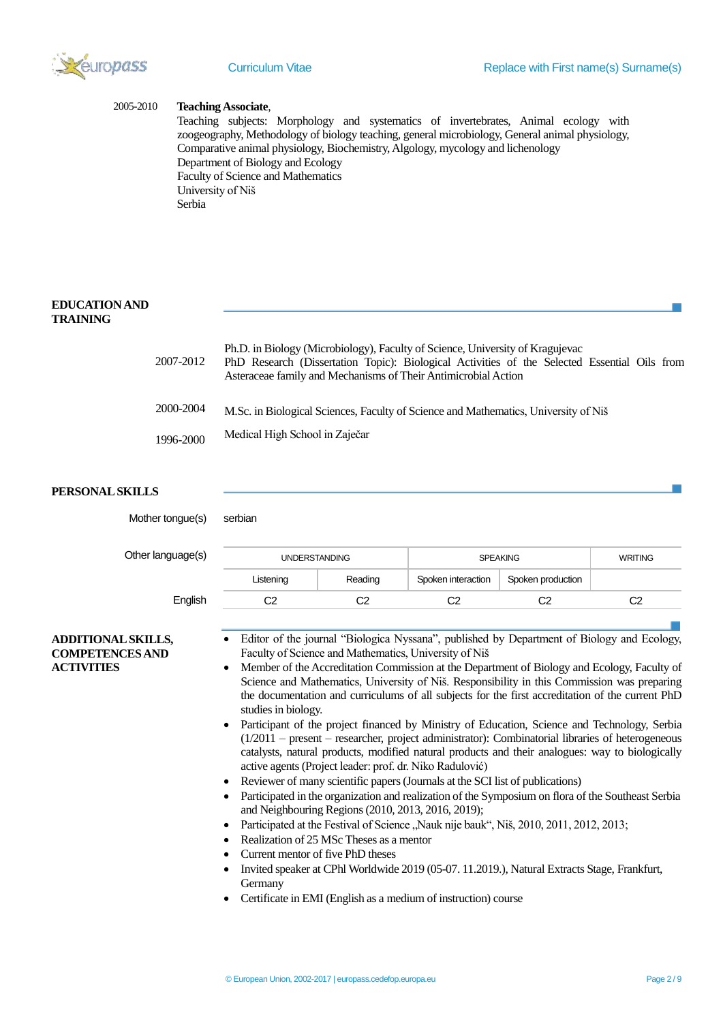

#### 2005-2010 **Teaching Associate**,

Teaching subjects: Morphology and systematics of invertebrates, Animal ecology with zoogeography, Methodology of biology teaching, general microbiology, General animal physiology, Comparative animal physiology, Biochemistry, Algology, mycology and lichenology Department of Biology and Ecology Faculty of Science and Mathematics University of Niš Serbia

## **EDUCATION AND TRAINING**

| 2007-2012 | Ph.D. in Biology (Microbiology), Faculty of Science, University of Kragujevac<br>PhD Research (Dissertation Topic): Biological Activities of the Selected Essential Oils from<br>Asteraceae family and Mechanisms of Their Antimicrobial Action |
|-----------|-------------------------------------------------------------------------------------------------------------------------------------------------------------------------------------------------------------------------------------------------|
| 2000-2004 | M.Sc. in Biological Sciences, Faculty of Science and Mathematics, University of Niš                                                                                                                                                             |
| 1996-2000 | Medical High School in Zaječar                                                                                                                                                                                                                  |

## **PERSONAL SKILLS**

| Mother tongue(s)                                                         | serbian                                                                                                                                                                                                                                                                                                                                                                                                                                                                                                                                                                                                                                                                                                                                                                                                         |                |                    |                   |                |  |
|--------------------------------------------------------------------------|-----------------------------------------------------------------------------------------------------------------------------------------------------------------------------------------------------------------------------------------------------------------------------------------------------------------------------------------------------------------------------------------------------------------------------------------------------------------------------------------------------------------------------------------------------------------------------------------------------------------------------------------------------------------------------------------------------------------------------------------------------------------------------------------------------------------|----------------|--------------------|-------------------|----------------|--|
| Other language(s)                                                        | <b>UNDERSTANDING</b>                                                                                                                                                                                                                                                                                                                                                                                                                                                                                                                                                                                                                                                                                                                                                                                            |                | <b>SPEAKING</b>    |                   | <b>WRITING</b> |  |
|                                                                          | Listening                                                                                                                                                                                                                                                                                                                                                                                                                                                                                                                                                                                                                                                                                                                                                                                                       | Reading        | Spoken interaction | Spoken production |                |  |
| English                                                                  | C <sub>2</sub>                                                                                                                                                                                                                                                                                                                                                                                                                                                                                                                                                                                                                                                                                                                                                                                                  | C <sub>2</sub> | C <sub>2</sub>     | C <sub>2</sub>    | C <sub>2</sub> |  |
| <b>ADDITIONAL SKILLS,</b><br><b>COMPETENCES AND</b><br><b>ACTIVITIES</b> | Editor of the journal "Biologica Nyssana", published by Department of Biology and Ecology,<br>Faculty of Science and Mathematics, University of Niš<br>Member of the Accreditation Commission at the Department of Biology and Ecology, Faculty of<br>$\bullet$<br>Science and Mathematics, University of Niš. Responsibility in this Commission was preparing<br>the documentation and curriculums of all subjects for the first accreditation of the current PhD<br>studies in biology.<br>Participant of the project financed by Ministry of Education, Science and Technology, Serbia<br>$\bullet$<br>$(1/2011 -$ present – researcher, project administrator): Combinatorial libraries of heterogeneous<br>catalysts, natural products, modified natural products and their analogues: way to biologically |                |                    |                   |                |  |

- active agents (Project leader: prof. dr. Niko Radulović) Reviewer of many scientific papers (Journals at the SCI list of publications)
- Participated in the organization and realization of the Symposium on flora of the Southeast Serbia and Neighbouring Regions (2010, 2013, 2016, 2019);
- Participated at the Festival of Science "Nauk nije bauk", Niš, 2010, 2011, 2012, 2013;
- Realization of 25 MSc Theses as a mentor
- Current mentor of five PhD theses
- Invited speaker at CPhl Worldwide 2019 (05-07. 11.2019.), Natural Extracts Stage, Frankfurt, **Germany**
- Certificate in EMI (English as a medium of instruction) course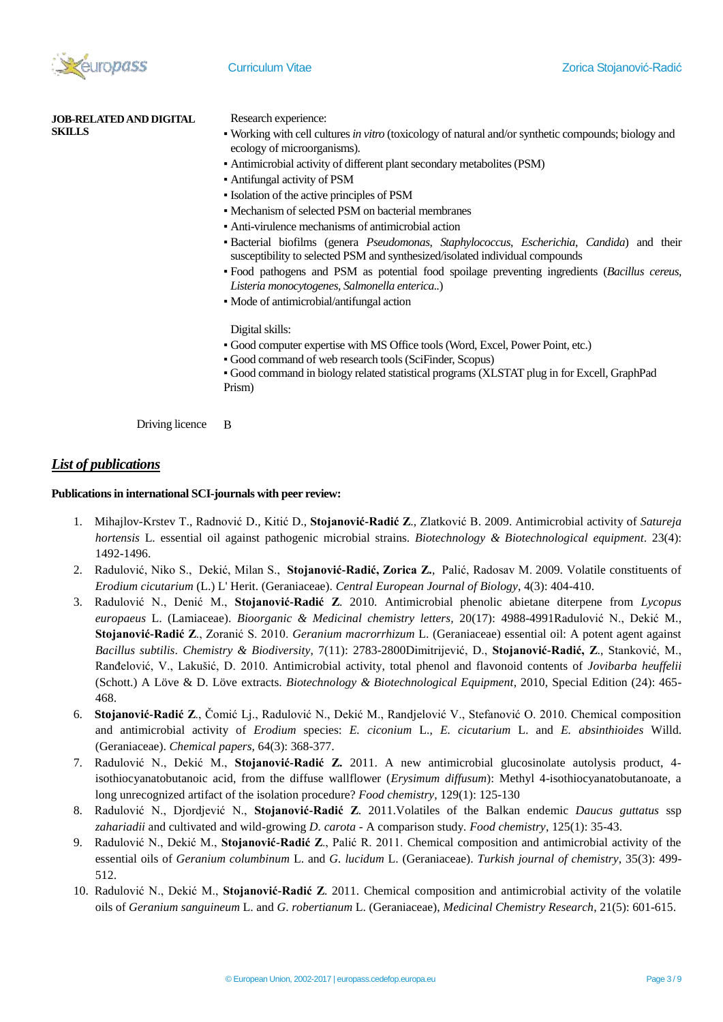

**JOB-RELATED AND DIGITAL SKILLS**

Research experience:

- Working with cell cultures *in vitro* (toxicology of natural and/or synthetic compounds; biology and ecology of microorganisms).
- Antimicrobial activity of different plant secondary metabolites (PSM)
- Antifungal activity of PSM
- Isolation of the active principles of PSM
- Mechanism of selected PSM on bacterial membranes
- Anti-virulence mechanisms of antimicrobial action
- Bacterial biofilms (genera *Pseudomonas*, *Staphylococcus*, *Escherichia*, *Candida*) and their susceptibility to selected PSM and synthesized/isolated individual compounds
- Food pathogens and PSM as potential food spoilage preventing ingredients (*Bacillus cereus, Listeria monocytogenes, Salmonella enterica..*)
- Mode of antimicrobial/antifungal action

Digital skills:

- Good computer expertise with MS Office tools (Word, Excel, Power Point, etc.)
- Good command of web research tools (SciFinder, Scopus)
- Good command in biology related statistical programs (XLSTAT plug in for Excell, GraphPad Prism)

Driving licence B

# *List of publications*

#### **Publications in international SCI-journals with peer review:**

- 1. Mihajlov-Krstev T., Radnović D., Kitić D., **Stojanović-Radić Z**., Zlatković B. 2009. Antimicrobial activity of *Satureja hortensis* L. essential oil against pathogenic microbial strains. *Biotechnology & Biotechnological equipment*. 23(4): 1492-1496.
- 2. Radulović, Niko S., Dekić, Milan S., **Stojanović-Radić, Zorica Z.**, Palić, Radosav M. 2009. Volatile constituents of *Erodium cicutarium* (L.) L' Herit. (Geraniaceae). *Central European Journal of Biology*, 4(3): 404-410.
- 3. Radulović N., Denić M., **Stojanović-Radić Z**. 2010. Antimicrobial phenolic abietane diterpene from *Lycopus europaeus* L. (Lamiaceae). *Bioorganic & Medicinal chemistry letters,* 20(17): 4988-4991Radulović N., Dekić M., **Stojanović-Radić Z**., Zoranić S. 2010. *Geranium macrorrhizum* L. (Geraniaceae) essential oil: A potent agent against *Bacillus subtilis*. *Chemistry & Biodiversity*, 7(11): 2783-2800Dimitrijević, D., **Stojanović-Radić, Z**., Stanković, M., Ranđelović, V., Lakušić, D. 2010. Antimicrobial activity, total phenol and flavonoid contents of *Jovibarba heuffelii* (Schott.) A Löve & D. Löve extracts. *Biotechnology & Biotechnological Equipment*, 2010, Special Edition (24): 465- 468.
- 6. **Stojanović-Radić Z**., Čomić Lj., Radulović N., Dekić M., Randjelović V., Stefanović O. 2010. Chemical composition and antimicrobial activity of *Erodium* species: *E. ciconium* L., *E. cicutarium* L. and *E. absinthioides* Willd. (Geraniaceae). *Chemical papers*, 64(3): 368-377.
- 7. Radulović N., Dekić M., **Stojanović-Radić Z.** 2011. A new antimicrobial glucosinolate autolysis product, 4 isothiocyanatobutanoic acid, from the diffuse wallflower (*Erysimum diffusum*): Methyl 4-isothiocyanatobutanoate, a long unrecognized artifact of the isolation procedure? *Food chemistry*, 129(1): 125-130
- 8. Radulović N., Djordjević N., **Stojanović-Radić Z**. 2011.Volatiles of the Balkan endemic *Daucus guttatus* ssp *zahariadii* and cultivated and wild-growing *D. carota* - A comparison study*. Food chemistry*, 125(1): 35-43.
- 9. Radulović N., Dekić M., **Stojanović-Radić Z**., Palić R. 2011. Chemical composition and antimicrobial activity of the essential oils of *Geranium columbinum* L. and *G. lucidum* L. (Geraniaceae). *Turkish journal of chemistry*, 35(3): 499- 512.
- 10. Radulović N., Dekić M., **Stojanović-Radić Z**. 2011. Chemical composition and antimicrobial activity of the volatile oils of *Geranium sanguineum* L. and *G*. *robertianum* L. (Geraniaceae), *Medicinal Chemistry Research*, 21(5): 601-615.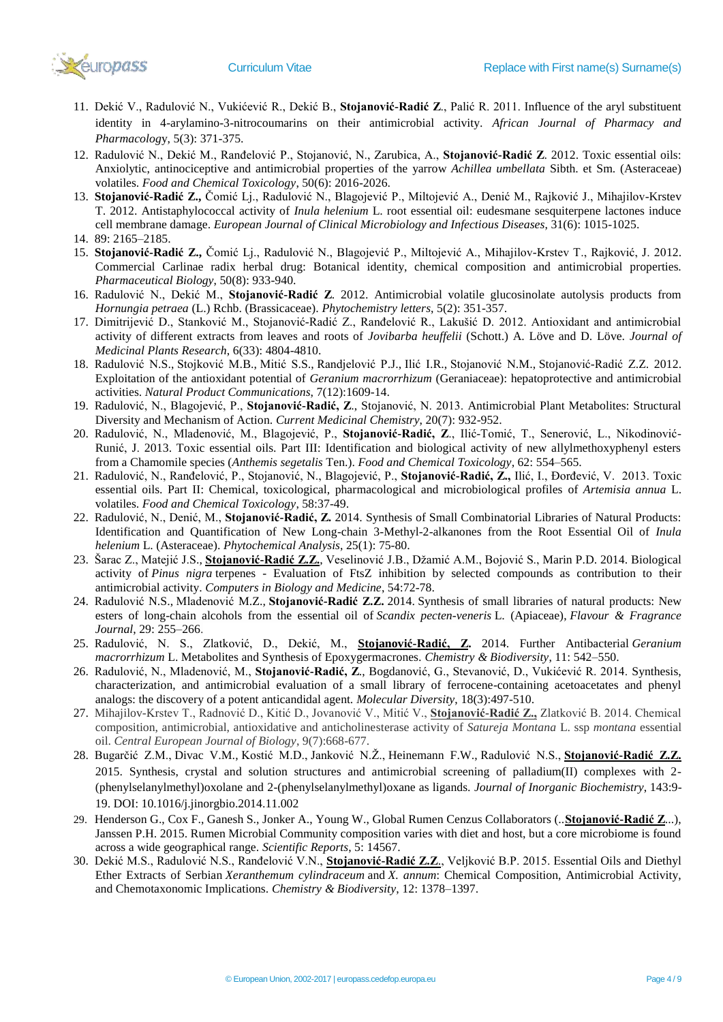

- 11. Dekić V., Radulović N., Vukićević R., Dekić B., **Stojanović-Radić Z**., Palić R. 2011. Influence of the aryl substituent identity in 4-arylamino-3-nitrocoumarins on their antimicrobial activity. *African Journal of Pharmacy and Pharmacolog*y, 5(3): 371-375.
- 12. Radulović N., Dekić M., Ranđelović P., Stojanović, N., Zarubica, A., **Stojanović-Radić Z**. 2012. Toxic essential oils: Anxiolytic, antinociceptive and antimicrobial properties of the yarrow *Achillea umbellata* Sibth. et Sm. (Asteraceae) volatiles. *Food and Chemical Toxicology*, 50(6): 2016-2026.
- 13. **Stojanović-Radić Z.,** Čomić Lj., Radulović N., Blagojević P., Miltojević A., Denić M., Rajković J., Mihajilov-Krstev T. 2012. Antistaphylococcal activity of *Inula helenium* L. root essential oil: eudesmane sesquiterpene lactones induce cell membrane damage. *European Journal of Clinical Microbiology and Infectious Diseases*, 31(6): 1015-1025.
- 14. 89: 2165–2185.
- 15. **Stojanović-Radić Z.,** Čomić Lj., Radulović N., Blagojević P., Miltojević A., Mihajilov-Krstev T., Rajković, J. 2012. Commercial Carlinae radix herbal drug: Botanical identity, chemical composition and antimicrobial properties. *Pharmaceutical Biology*, 50(8): 933-940.
- 16. Radulović N., Dekić M., **Stojanović-Radić Z**. 2012. Antimicrobial volatile glucosinolate autolysis products from *Hornungia petraea* (L.) Rchb. (Brassicaceae). *Phytochemistry letters*, 5(2): 351-357.
- 17. Dimitrijević D., Stanković M., Stojanović-Radić Z., Ranđelović R., Lakušić D. 2012. Antioxidant and antimicrobial activity of different extracts from leaves and roots of *Jovibarba heuffelii* (Schott.) A. Löve and D. Löve. *Journal of Medicinal Plants Research*, 6(33): 4804-4810.
- 18. Radulović N.S., Stojković M.B., Mitić S.S., Randjelović P.J., Ilić I.R., Stojanović N.M., Stojanović-Radić Z.Z. 2012. Exploitation of the antioxidant potential of *Geranium macrorrhizum* (Geraniaceae): hepatoprotective and antimicrobial activities. *Natural Product Communications*, 7(12):1609-14.
- 19. Radulović, N., Blagojević, P., **Stojanović-Radić, Z**., Stojanović, N. 2013. Antimicrobial Plant Metabolites: Structural Diversity and Mechanism of Action. *Current Medicinal Chemistry*, 20(7): 932-952.
- 20. Radulović, N., Mladenović, M., Blagojević, P., **Stojanović-Radić, Z**., Ilić-Tomić, T., Senerović, L., Nikodinović-Runić, J. 2013. Toxic essential oils. Part III: Identification and biological activity of new allylmethoxyphenyl esters from a Chamomile species (*Anthemis segetalis* Ten.). *Food and Chemical Toxicology*, 62: 554–565.
- 21. Radulović, N., Ranđelović, P., Stojanović, N., Blagojević, P., **Stojanović-Radić, Z.,** Ilić, I., Đorđević, V. 2013. Toxic essential oils. Part II: Chemical, toxicological, pharmacological and microbiological profiles of *Artemisia annua* L. volatiles. *Food and Chemical Toxicology*, 58:37-49.
- 22. Radulović, N., Denić, M., **Stojanović-Radić, Z.** 2014. Synthesis of Small Combinatorial Libraries of Natural Products: Identification and Quantification of New Long-chain 3-Methyl-2-alkanones from the Root Essential Oil of *Inula helenium* L. (Asteraceae). *Phytochemical Analysis*, 25(1): 75-80.
- 23. Šarac Z., Matejić J.S., **Stojanović-Radić Z.Z.**, Veselinović J.B., Džamić A.M., Bojović S., Marin P.D. 2014. Biological activity of *Pinus nigra* terpenes - Evaluation of FtsZ inhibition by selected compounds as contribution to their antimicrobial activity. *Computers in Biology and Medicine*, 54:72-78.
- 24. Radulović N.S., Mladenović M.Z., **Stojanović-Radić Z.Z.** 2014. Synthesis of small libraries of natural products: New esters of long-chain alcohols from the essential oil of *Scandix pecten-veneris* L. (Apiaceae), *Flavour & Fragrance Journal*, 29: 255–266.
- 25. Radulović, N. S., Zlatković, D., Dekić, M., **Stojanović-Radić, Z.** 2014. Further Antibacterial *Geranium macrorrhizum* L. Metabolites and Synthesis of Epoxygermacrones*. Chemistry & Biodiversity*, 11: 542–550.
- 26. Radulović, N., Mladenović, M., **Stojanović-Radić, Z**., Bogdanović, G., Stevanović, D., Vukićević R. 2014. Synthesis, characterization, and antimicrobial evaluation of a small library of ferrocene-containing acetoacetates and phenyl analogs: the discovery of a potent anticandidal agent. *Molecular Diversity*, 18(3):497-510.
- 27. Mihajilov-Krstev T., Radnović D., Kitić D., Jovanović V., Mitić V., **Stojanović-Radić Z.,** Zlatković B. 2014. Chemical composition, antimicrobial, antioxidative and anticholinesterase activity of *Satureja Montana* L. ssp *montana* essential oil. *Central European Journal of Biology*, 9(7):668-677.
- 28. Bugarčić Z.M., Divac V.M., Kostić M.D., Janković N.Ž., Heinemann F.W., Radulović N.S., **Stojanović-Radić Z.Z.** 2015. Synthesis, crystal and solution structures and antimicrobial screening of palladium(II) complexes with 2- (phenylselanylmethyl)oxolane and 2-(phenylselanylmethyl)oxane as ligands. *Journal of Inorganic Biochemistry*, 143:9- 19. DOI: 10.1016/j.jinorgbio.2014.11.002
- 29. Henderson G., Cox F., Ganesh S., Jonker A., Young W., Global Rumen Cenzus Collaborators (..**Stojanović-Radić Z**...), Janssen P.H. 2015. Rumen Microbial Community composition varies with diet and host, but a core microbiome is found across a wide geographical range. *Scientific Reports*, 5: 14567.
- 30. Dekić M.S., Radulović N.S., Ranđelović V.N., **Stojanović-Radić Z.Z**., Veljković B.P. 2015. Essential Oils and Diethyl Ether Extracts of Serbian *Xeranthemum cylindraceum* and *X. annum*: Chemical Composition, Antimicrobial Activity, and Chemotaxonomic Implications. *Chemistry & Biodiversity*, 12: 1378–1397.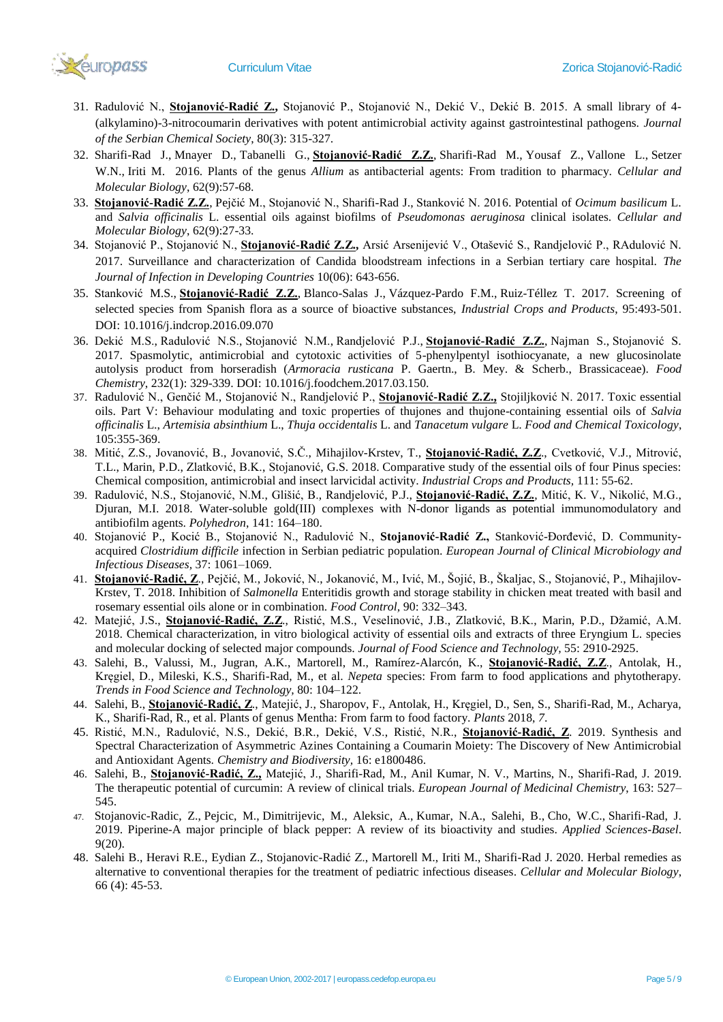

- 31. Radulović N., **Stojanović-Radić Z.,** Stojanović P., Stojanović N., Dekić V., Dekić B. 2015. A small library of 4- (alkylamino)-3-nitrocoumarin derivatives with potent antimicrobial activity against gastrointestinal pathogens. *Journal of the Serbian Chemical Society*, 80(3): 315-327.
- 32. Sharifi-Rad J., Mnayer D., Tabanelli G., **Stojanović-Radić Z.Z.**, Sharifi-Rad M., Yousaf Z., Vallone L., Setzer W.N., Iriti M. 2016. Plants of the genus *Allium* as antibacterial agents: From tradition to pharmacy. *Cellular and Molecular Biology*, 62(9):57-68.
- 33. **Stojanović-Radić Z.Z.**, Pejčić M., Stojanović N., Sharifi-Rad J., Stanković N. 2016. Potential of *Ocimum basilicum* L. and *Salvia officinalis* L. essential oils against biofilms of *Pseudomonas aeruginosa* clinical isolates. *Cellular and Molecular Biology*, 62(9):27-33.
- 34. Stojanović P., Stojanović N., **Stojanović-Radić Z.Z.,** Arsić Arsenijević V., Otašević S., Randjelović P., RAdulović N. 2017. Surveillance and characterization of Candida bloodstream infections in a Serbian tertiary care hospital. *The Journal of Infection in Developing Countries* 10(06): 643-656.
- 35. Stanković M.S., **Stojanović-Radić Z.Z.**, Blanco-Salas J., Vázquez-Pardo F.M., Ruiz-Téllez T. 2017. Screening of selected species from Spanish flora as a source of bioactive substances, *Industrial Crops and Products*, 95:493-501. DOI: 10.1016/j.indcrop.2016.09.070
- 36. Dekić M.S., Radulović N.S., Stojanović N.M., Randjelović P.J., **Stojanović-Radić Z.Z.**, Najman S., Stojanović S. 2017. Spasmolytic, antimicrobial and cytotoxic activities of 5-phenylpentyl isothiocyanate, a new glucosinolate autolysis product from horseradish (*Armoracia rusticana* P. Gaertn., B. Mey. & Scherb., Brassicaceae). *Food Chemistry*, 232(1): 329-339. DOI: 10.1016/j.foodchem.2017.03.150.
- 37. Radulović N., Genčić M., Stojanović N., Randjelović P., **Stojanović-Radić Z.Z.,** Stojiljković N. 2017. Toxic essential oils. Part V: Behaviour modulating and toxic properties of thujones and thujone-containing essential oils of *Salvia officinalis* L., *Artemisia absinthium* L., *Thuja occidentalis* L. and *Tanacetum vulgare* L. *Food and Chemical Toxicology*, 105:355-369.
- 38. Mitić, Z.S., Jovanović, B., Jovanović, S.Č., Mihajilov-Krstev, T., **Stojanović-Radić, Z.Z**., Cvetković, V.J., Mitrović, T.L., Marin, P.D., Zlatković, B.K., Stojanović, G.S. 2018. Comparative study of the essential oils of four Pinus species: Chemical composition, antimicrobial and insect larvicidal activity. *Industrial Crops and Products,* 111: 55-62.
- 39. Radulović, N.S., Stojanović, N.M., Glišić, B., Randjelović, P.J., **Stojanović-Radić, Z.Z.**, Mitić, K. V., Nikolić, M.G., Djuran, M.I. 2018. Water-soluble gold(III) complexes with N-donor ligands as potential immunomodulatory and antibiofilm agents. *Polyhedron*, 141: 164–180.
- 40. Stojanović P., Kocić B., Stojanović N., Radulović N., **Stojanović-Radić Z.,** Stanković-Đorđević, D. Communityacquired *Clostridium difficile* infection in Serbian pediatric population. *European Journal of Clinical Microbiology and Infectious Diseases,* 37: 1061–1069.
- 41. **Stojanović-Radić, Z**., Pejčić, M., Joković, N., Jokanović, M., Ivić, M., Šojić, B., Škaljac, S., Stojanović, P., Mihajilov-Krstev, T. 2018. Inhibition of *Salmonella* Enteritidis growth and storage stability in chicken meat treated with basil and rosemary essential oils alone or in combination. *Food Control,* 90: 332–343.
- 42. Matejić, J.S., **Stojanović-Radić, Z.Z**., Ristić, M.S., Veselinović, J.B., Zlatković, B.K., Marin, P.D., Džamić, A.M. 2018. Chemical characterization, in vitro biological activity of essential oils and extracts of three Eryngium L. species and molecular docking of selected major compounds. *Journal of Food Science and Technology,* 55: 2910-2925.
- 43. Salehi, B., Valussi, M., Jugran, A.K., Martorell, M., Ramírez-Alarcón, K., **Stojanović-Radić, Z.Z**., Antolak, H., Kręgiel, D., Mileski, K.S., Sharifi-Rad, M., et al. *Nepeta* species: From farm to food applications and phytotherapy. *Trends in Food Science and Technology,* 80: 104–122.
- 44. Salehi, B., **Stojanović-Radić, Z**., Matejić, J., Sharopov, F., Antolak, H., Kręgiel, D., Sen, S., Sharifi-Rad, M., Acharya, K., Sharifi-Rad, R., et al. Plants of genus Mentha: From farm to food factory. *Plants* 2018, *7*.
- 45. Ristić, M.N., Radulović, N.S., Dekić, B.R., Dekić, V.S., Ristić, N.R., **Stojanović-Radić, Z**. 2019. Synthesis and Spectral Characterization of Asymmetric Azines Containing a Coumarin Moiety: The Discovery of New Antimicrobial and Antioxidant Agents. *Chemistry and Biodiversity,* 16: e1800486.
- 46. Salehi, B., **Stojanović-Radić, Z.,** Matejić, J., Sharifi-Rad, M., Anil Kumar, N. V., Martins, N., Sharifi-Rad, J. 2019. The therapeutic potential of curcumin: A review of clinical trials. *European Journal of Medicinal Chemistry*, 163: 527– 545.
- 47. [Stojanovic-Radic,](https://kobson.nb.rs/nauka_u_srbiji.132.html?autor=Stojanovic-Radic%20Zorica%20Z) Z., [Pejcic,](https://kobson.nb.rs/nauka_u_srbiji.132.html?autor=Stojanovic-Radic%20Zorica%20Z) M., [Dimitrijevic,](https://kobson.nb.rs/nauka_u_srbiji.132.html?autor=Dimitrijevic%20Marina) M., [Aleksic,](https://kobson.nb.rs/nauka_u_srbiji.132.html?autor=Aleksic%20Ana) A., Kumar, N.A., [Salehi,](https://kobson.nb.rs/nauka_u_srbiji.132.html?autor=Salehi%20Bahare) B., Cho, [W.C.,](https://kobson.nb.rs/nauka_u_srbiji.132.html?autor=Salehi%20Bahare) Sharifi-Rad, J. 2019. Piperine-A major principle of black pepper: A review of its bioactivity and studies. *Applied Sciences-Basel*. 9(20).
- 48. Salehi B., Heravi R.E., Eydian Z., Stojanovic-Radić Z., Martorell M., Iriti M., Sharifi-Rad J. 2020. Herbal remedies as alternative to conventional therapies for the treatment of pediatric infectious diseases. *Cellular and Molecular Biology*, 66 (4): 45-53.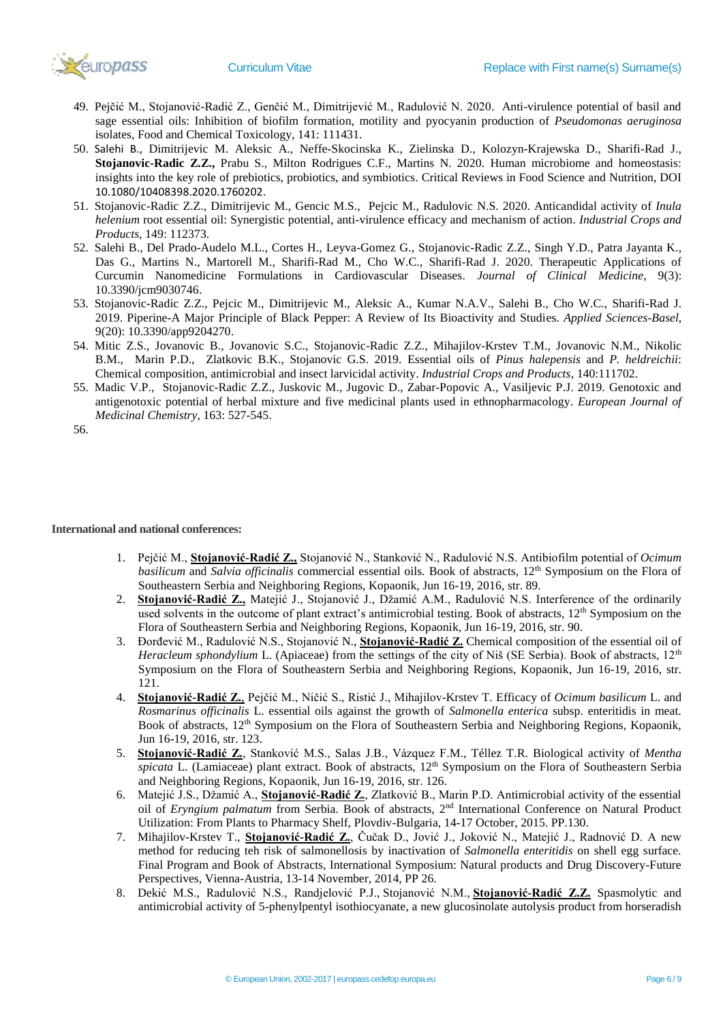

- 49. Pejčić M., Stojanović-Radić Z., Genčić M., Dimitrijević M., Radulović N. 2020. Anti-virulence potential of basil and sage essential oils: Inhibition of biofilm formation, motility and pyocyanin production of *Pseudomonas aeruginosa* isolates, Food and Chemical Toxicology, 141: 111431.
- 50. Salehi B., Dimitrijevic M. Aleksic A., Neffe-Skocinska K., Zielinska D., Kolozyn-Krajewska D., Sharifi-Rad J., **Stojanovic-Radic Z.Z.,** Prabu S., Milton Rodrigues C.F., Martins N. 2020. Human microbiome and homeostasis: insights into the key role of prebiotics, probiotics, and symbiotics. Critical Reviews in Food Science and Nutrition, DOI 10.1080/10408398.2020.1760202.
- 51. Stojanovic-Radic Z.Z., Dimitrijevic M., Gencic M.S., Pejcic M., Radulovic N.S. 2020. Anticandidal activity of *Inula helenium* root essential oil: Synergistic potential, anti-virulence efficacy and mechanism of action. *Industrial Crops and Products*, 149: 112373.
- 52. Salehi B., Del Prado-Audelo M.L., Cortes H., Leyva-Gomez G., Stojanovic-Radic Z.Z., Singh Y.D., Patra Jayanta K., Das G., Martins N., Martorell M., Sharifi-Rad M., Cho W.C., Sharifi-Rad J. 2020. Therapeutic Applications of Curcumin Nanomedicine Formulations in Cardiovascular Diseases. *Journal of Clinical Medicine*, 9(3): 10.3390/jcm9030746.
- 53. Stojanovic-Radic Z.Z., Pejcic M., Dimitrijevic M., Aleksic A., Kumar N.A.V., Salehi B., Cho W.C., Sharifi-Rad J. 2019. Piperine-A Major Principle of Black Pepper: A Review of Its Bioactivity and Studies. *Applied Sciences-Basel*, 9(20): 10.3390/app9204270.
- 54. Mitic Z.S., Jovanovic B., Jovanovic S.C., Stojanovic-Radic Z.Z., Mihajilov-Krstev T.M., Jovanovic N.M., Nikolic B.M., Marin P.D., Zlatkovic B.K., Stojanovic G.S. 2019. Essential oils of *Pinus halepensis* and *P. heldreichii*: Chemical composition, antimicrobial and insect larvicidal activity. *Industrial Crops and Products*, 140:111702.
- 55. Madic V.P., Stojanovic-Radic Z.Z., Juskovic M., Jugovic D., Zabar-Popovic A., Vasiljevic P.J. 2019. Genotoxic and antigenotoxic potential of herbal mixture and five medicinal plants used in ethnopharmacology. *European Journal of Medicinal Chemistry*, 163: 527-545.

**International and national conferences:**

- 1. Pejčić M., **Stojanović-Radić Z.,** Stojanović N., Stanković N., Radulović N.S. Antibiofilm potential of *Ocimum basilicum* and *Salvia officinalis* commercial essential oils. Book of abstracts, 12<sup>th</sup> Symposium on the Flora of Southeastern Serbia and Neighboring Regions, Kopaonik, Jun 16-19, 2016, str. 89.
- 2. **Stojanović-Radić Z.,** Matejić J., Stojanović J., Džamić A.M., Radulović N.S. Interference of the ordinarily used solvents in the outcome of plant extract's antimicrobial testing. Book of abstracts, 12<sup>th</sup> Symposium on the Flora of Southeastern Serbia and Neighboring Regions, Kopaonik, Jun 16-19, 2016, str. 90.
- 3. Đorđević M., Radulović N.S., Stojanović N., **Stojanović-Radić Z.** Chemical composition of the essential oil of *Heracleum sphondylium* L. (Apiaceae) from the settings of the city of Niš (SE Serbia). Book of abstracts, 12<sup>th</sup> Symposium on the Flora of Southeastern Serbia and Neighboring Regions, Kopaonik, Jun 16-19, 2016, str. 121.
- 4. **Stojanović-Radić Z.**, Pejčić M., Ničić S., Ristić J., Mihajilov-Krstev T. Efficacy of *Ocimum basilicum* L. and *Rosmarinus officinalis* L. essential oils against the growth of *Salmonella enterica* subsp. enteritidis in meat. Book of abstracts, 12<sup>th</sup> Symposium on the Flora of Southeastern Serbia and Neighboring Regions, Kopaonik, Jun 16-19, 2016, str. 123.
- 5. **Stojanović-Radić Z.**, Stanković M.S., Salas J.B., Vázquez F.M., Téllez T.R. Biological activity of *Mentha spicata* L. (Lamiaceae) plant extract. Book of abstracts, 12<sup>th</sup> Symposium on the Flora of Southeastern Serbia and Neighboring Regions, Kopaonik, Jun 16-19, 2016, str. 126.
- 6. Matejić J.S., Džamić A., **Stojanović-Radić Z.**, Zlatković B., Marin P.D. Antimicrobial activity of the essential oil of *Eryngium palmatum* from Serbia. Book of abstracts, 2nd International Conference on Natural Product Utilization: From Plants to Pharmacy Shelf, Plovdiv-Bulgaria, 14-17 October, 2015. PP.130.
- 7. Mihajilov-Krstev T., **Stojanović-Radić Z.**, Čučak D., Jović J., Joković N., Matejić J., Radnović D. A new method for reducing teh risk of salmonellosis by inactivation of *Salmonella enteritidis* on shell egg surface. Final Program and Book of Abstracts, International Symposium: Natural products and Drug Discovery-Future Perspectives, Vienna-Austria, 13-14 November, 2014, PP 26.
- 8. Dekić M.S., Radulović N.S., Randjelović P.J., Stojanović N.M., **Stojanović-Radić Z.Z.** Spasmolytic and antimicrobial activity of 5-phenylpentyl isothiocyanate, a new glucosinolate autolysis product from horseradish

<sup>56.</sup>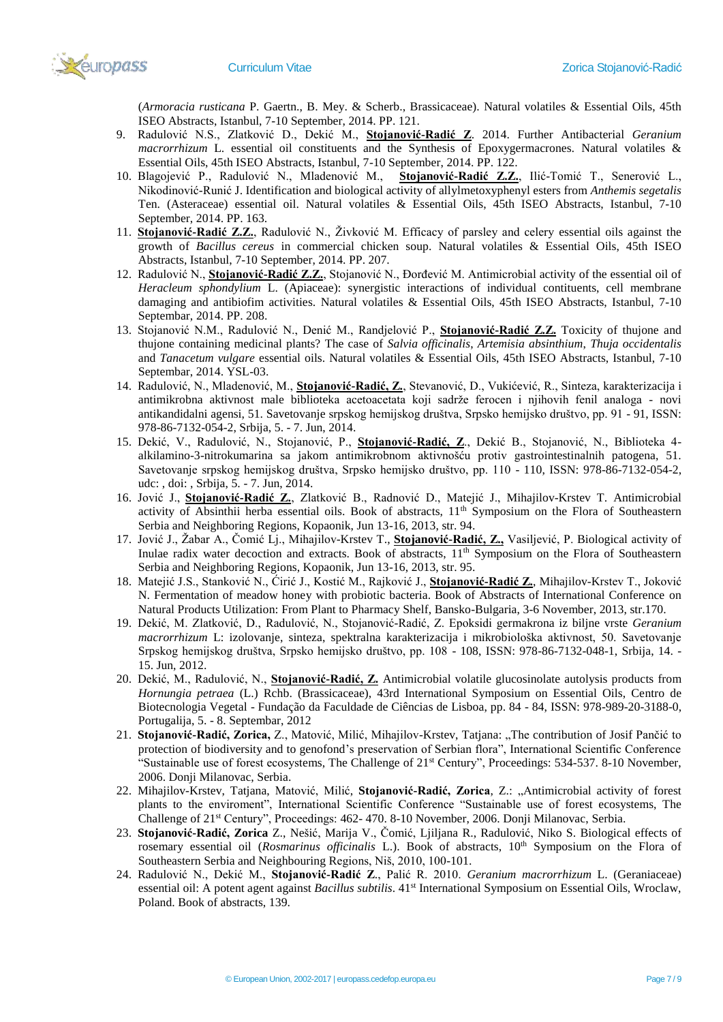

(*Armoracia rusticana* P. Gaertn., B. Mey. & Scherb., Brassicaceae). Natural volatiles & Essential Oils, 45th ISEO Abstracts, Istanbul, 7-10 September, 2014. PP. 121.

- 9. Radulović N.S., Zlatković D., Dekić M., **Stojanović-Radić Z**. 2014. Further Antibacterial *Geranium macrorrhizum* L. essential oil constituents and the Synthesis of Epoxygermacrones*.* Natural volatiles & Essential Oils, 45th ISEO Abstracts, Istanbul, 7-10 September, 2014. PP. 122.
- 10. Blagojević P., Radulović N., Mladenović M., **Stojanović-Radić Z.Z.**, Ilić-Tomić T., Senerović L., Nikodinović-Runić J. Identification and biological activity of allylmetoxyphenyl esters from *Anthemis segetalis* Ten. (Asteraceae) essential oil. Natural volatiles & Essential Oils, 45th ISEO Abstracts, Istanbul, 7-10 September, 2014. PP. 163.
- 11. **Stojanović-Radić Z.Z.**, Radulović N., Živković M. Efficacy of parsley and celery essential oils against the growth of *Bacillus cereus* in commercial chicken soup. Natural volatiles & Essential Oils, 45th ISEO Abstracts, Istanbul, 7-10 September, 2014. PP. 207.
- 12. Radulović N., **Stojanović-Radić Z.Z.**, Stojanović N., Đorđević M. Antimicrobial activity of the essential oil of *Heracleum sphondylium* L. (Apiaceae): synergistic interactions of individual contituents, cell membrane damaging and antibiofim activities. Natural volatiles & Essential Oils, 45th ISEO Abstracts, Istanbul, 7-10 Septembar, 2014. PP. 208.
- 13. Stojanović N.M., Radulović N., Denić M., Randjelović P., **Stojanović-Radić Z.Z.** Toxicity of thujone and thujone containing medicinal plants? The case of *Salvia officinalis*, *Artemisia absinthium*, *Thuja occidentalis* and *Tanacetum vulgare* essential oils. Natural volatiles & Essential Oils, 45th ISEO Abstracts, Istanbul, 7-10 Septembar, 2014. YSL-03.
- 14. Radulović, N., Mladenović, M., **Stojanović-Radić, Z.**, Stevanović, D., Vukićević, R., Sinteza, karakterizacija i antimikrobna aktivnost male biblioteka acetoacetata koji sadrže ferocen i njihovih fenil analoga - novi antikandidalni agensi, 51. Savetovanje srpskog hemijskog društva, Srpsko hemijsko društvo, pp. 91 - 91, ISSN: 978-86-7132-054-2, Srbija, 5. - 7. Jun, 2014.
- 15. Dekić, V., Radulović, N., Stojanović, P., **Stojanović-Radić, Z**., Dekić B., Stojanović, N., Biblioteka 4 alkilamino-3-nitrokumarina sa jakom antimikrobnom aktivnošću protiv gastrointestinalnih patogena, 51. Savetovanje srpskog hemijskog društva, Srpsko hemijsko društvo, pp. 110 - 110, ISSN: 978-86-7132-054-2, udc: , doi: , Srbija, 5. - 7. Jun, 2014.
- 16. Jović J., **Stojanović-Radić Z.**, Zlatković B., Radnović D., Matejić J., Mihajilov-Krstev T. Antimicrobial activity of Absinthii herba essential oils. Book of abstracts,  $11<sup>th</sup>$  Symposium on the Flora of Southeastern Serbia and Neighboring Regions, Kopaonik, Jun 13-16, 2013, str. 94.
- 17. Jović J., Žabar A., Čomić Lj., Mihajilov-Krstev T., **Stojanović-Radić, Z.,** Vasiljević, P. Biological activity of Inulae radix water decoction and extracts. Book of abstracts,  $11<sup>th</sup>$  Symposium on the Flora of Southeastern Serbia and Neighboring Regions, Kopaonik, Jun 13-16, 2013, str. 95.
- 18. Matejić J.S., Stanković N., Ćirić J., Kostić M., Rajković J., **Stojanović-Radić Z.**, Mihajilov-Krstev T., Joković N. Fermentation of meadow honey with probiotic bacteria. Book of Abstracts of International Conference on Natural Products Utilization: From Plant to Pharmacy Shelf, Bansko-Bulgaria, 3-6 November, 2013, str.170.
- 19. Dekić, M. Zlatković, D., Radulović, N., Stojanović-Radić, Z. Epoksidi germakrona iz biljne vrste *Geranium macrorrhizum* L: izolovanje, sinteza, spektralna karakterizacija i mikrobiološka aktivnost, 50. Savetovanje Srpskog hemijskog društva, Srpsko hemijsko društvo, pp. 108 - 108, ISSN: 978-86-7132-048-1, Srbija, 14. - 15. Jun, 2012.
- 20. Dekić, M., Radulović, N., **Stojanović-Radić, Z.** Antimicrobial volatile glucosinolate autolysis products from *Hornungia petraea* (L.) Rchb. (Brassicaceae), 43rd International Symposium on Essential Oils, Centro de Biotecnologia Vegetal - Fundação da Faculdade de Ciências de Lisboa, pp. 84 - 84, ISSN: 978-989-20-3188-0, Portugalija, 5. - 8. Septembar, 2012
- 21. **Stojanović-Radić, Zorica,** Z., Matović, Milić, Mihajilov-Krstev, Tatjana: "The contribution of Josif Pančić to protection of biodiversity and to genofond's preservation of Serbian flora", International Scientific Conference "Sustainable use of forest ecosystems, The Challenge of 21<sup>st</sup> Century", Proceedings: 534-537. 8-10 November, 2006. Donji Milanovac, Serbia.
- 22. Mihajilov-Krstev, Tatjana, Matović, Мilić, **Stojanović-Radić, Zorica**, Z.: "Аntimicrobial activity of forest plants to the enviroment", International Scientific Conference "Sustainable use of forest ecosystems, The Challenge of 21st Century", Proceedings: 462- 470. 8-10 November, 2006. Donji Milanovac, Serbia.
- 23. **Stojanović-Radić, Zorica** Z., Nešić, Marija V., Čomić, Ljiljana R., Radulović, Niko S. Biological effects of rosemary essential oil (*Rosmarinus officinalis* L.). Book of abstracts, 10<sup>th</sup> Symposium on the Flora of Southeastern Serbia and Neighbouring Regions, Niš, 2010, 100-101.
- 24. Radulović N., Dekić M., **Stojanović-Radić Z**., Palić R. 2010. *Geranium macrorrhizum* L. (Geraniaceae) essential oil: A potent agent against *Bacillus subtilis*. 41st International Symposium on Essential Oils, Wroclaw, Poland. Book of abstracts, 139.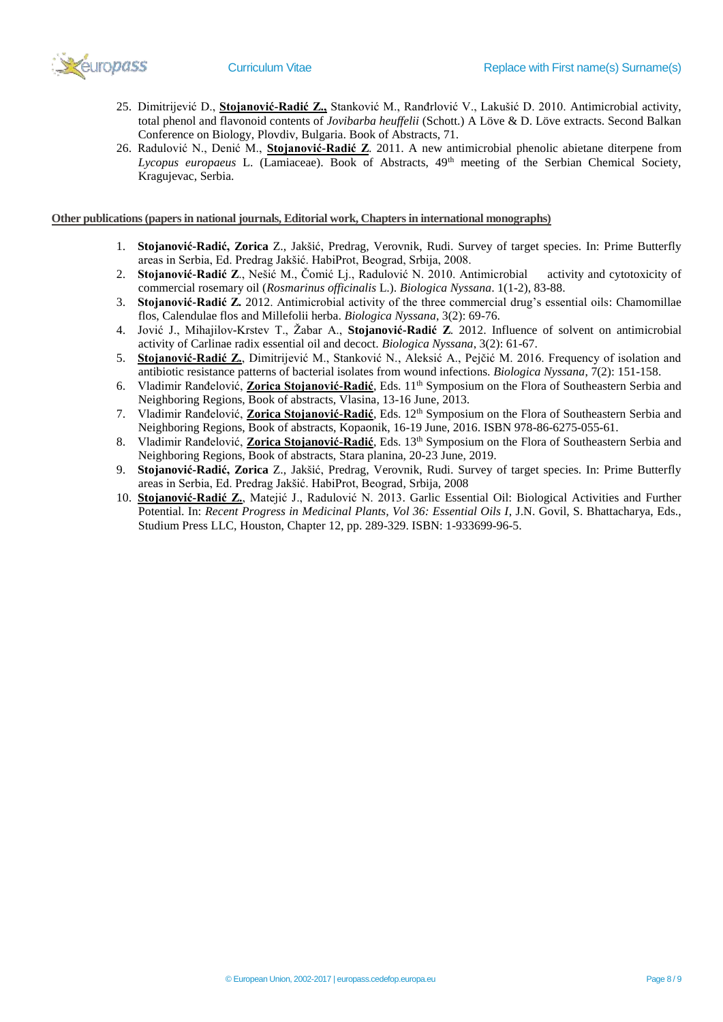

- 25. Dimitrijević D., **Stojanović-Radić Z.,** Stanković M., Ranđrlović V., Lakušić D. 2010. Antimicrobial activity, total phenol and flavonoid contents of *Jovibarba heuffelii* (Schott.) A Löve & D. Löve extracts. Second Balkan Conference on Biology, Plovdiv, Bulgaria. Book of Abstracts, 71.
- 26. Radulović N., Denić M., **Stojanović-Radić Z**. 2011. A new antimicrobial phenolic abietane diterpene from *Lycopus europaeus* L. (Lamiaceae). Book of Abstracts, 49th meeting of the Serbian Chemical Society, Kragujevac, Serbia.

**Other publications (papers in national journals, Editorial work, Chapters in international monographs)**

- 1. **Stojanović-Radić, Zorica** Z., Jakšić, Predrag, Verovnik, Rudi. Survey of target species. In: Prime Butterfly areas in Serbia, Ed. Predrag Jakšić. HabiProt, Beograd, Srbija, 2008.
- 2. **Stojanović-Radić Z**., Nešić M., Čomić Lj., Radulović N. 2010. Antimicrobial activity and cytotoxicity of commercial rosemary oil (*Rosmarinus officinalis* L.). *Biologica Nyssana*. 1(1-2), 83-88.
- 3. **Stojanović-Radić Z.** 2012. Antimicrobial activity of the three commercial drug's essential oils: Chamomillae flos, Calendulae flos and Millefolii herba. *Biologica Nyssana*, 3(2): 69-76.
- 4. Jović J., Mihajilov-Krstev T., Žabar A., **Stojanović-Radić Z**. 2012. Influence of solvent on antimicrobial activity of Carlinae radix essential oil and decoct. *Biologica Nyssana*, 3(2): 61-67.
- 5. **Stojanović-Radić Z.**, Dimitrijević M., Stanković N., Aleksić A., Pejčić M. 2016. Frequency of isolation and antibiotic resistance patterns of bacterial isolates from wound infections. *Biologica Nyssana*, 7(2): 151-158.
- 6. Vladimir Ranđelović, **Zorica Stojanović-Radić**, Eds. 11th Symposium on the Flora of Southeastern Serbia and Neighboring Regions, Book of abstracts, Vlasina, 13-16 June, 2013.
- 7. Vladimir Ranđelović, **Zorica Stojanović-Radić**, Eds. 12<sup>th</sup> Symposium on the Flora of Southeastern Serbia and Neighboring Regions, Book of abstracts, Kopaonik, 16-19 June, 2016. ISBN 978-86-6275-055-61.
- 8. Vladimir Ranđelović, **Zorica Stojanović-Radić**, Eds. 13<sup>th</sup> Symposium on the Flora of Southeastern Serbia and Neighboring Regions, Book of abstracts, Stara planina, 20-23 June, 2019.
- 9. **Stojanović-Radić, Zorica** Z., Jakšić, Predrag, Verovnik, Rudi. Survey of target species. In: Prime Butterfly areas in Serbia, Ed. Predrag Jakšić. HabiProt, Beograd, Srbija, 2008
- 10. **Stojanović-Radić Z.**, Matejić J., Radulović N. 2013. Garlic Essential Oil: Biological Activities and Further Potential. In: *Recent Progress in Medicinal Plants, Vol 36: Essential Oils I*, J.N. Govil, S. Bhattacharya, Eds., Studium Press LLC, Houston, Chapter 12, pp. 289-329. ISBN: 1-933699-96-5.